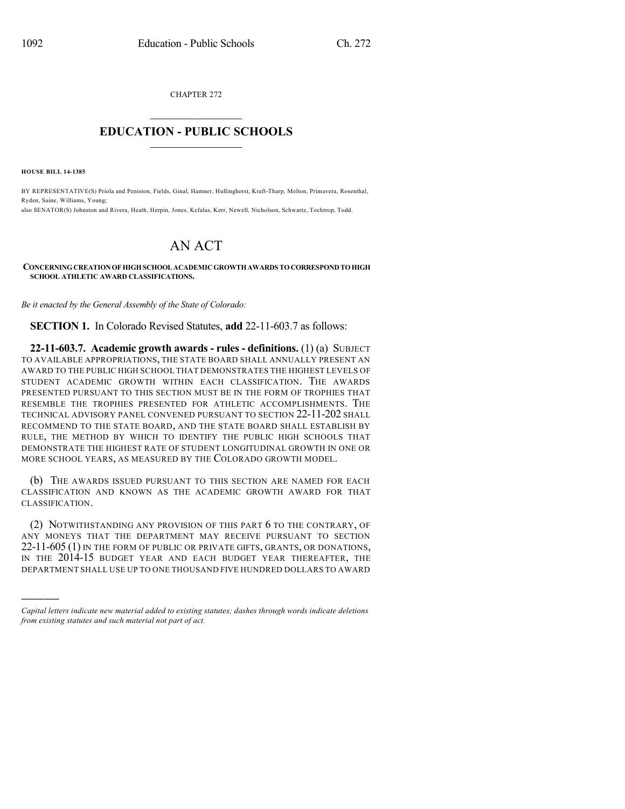CHAPTER 272  $\overline{\phantom{a}}$  . The set of the set of the set of the set of the set of the set of the set of the set of the set of the set of the set of the set of the set of the set of the set of the set of the set of the set of the set o

## **EDUCATION - PUBLIC SCHOOLS**  $\_$   $\_$   $\_$   $\_$   $\_$   $\_$   $\_$   $\_$   $\_$

**HOUSE BILL 14-1385**

)))))

BY REPRESENTATIVE(S) Priola and Peniston, Fields, Ginal, Hamner, Hullinghorst, Kraft-Tharp, Melton, Primavera, Rosenthal, Ryden, Saine, Williams, Young;

also SENATOR(S) Johnston and Rivera, Heath, Herpin, Jones, Kefalas, Kerr, Newell, Nicholson, Schwartz, Tochtrop, Todd.

## AN ACT

**CONCERNINGCREATIONOFHIGHSCHOOLACADEMICGROWTHAWARDS TOCORRESPONDTOHIGH SCHOOL ATHLETIC AWARD CLASSIFICATIONS.**

*Be it enacted by the General Assembly of the State of Colorado:*

**SECTION 1.** In Colorado Revised Statutes, **add** 22-11-603.7 as follows:

**22-11-603.7. Academic growth awards - rules - definitions.** (1) (a) SUBJECT TO AVAILABLE APPROPRIATIONS, THE STATE BOARD SHALL ANNUALLY PRESENT AN AWARD TO THE PUBLIC HIGH SCHOOL THAT DEMONSTRATES THE HIGHEST LEVELS OF STUDENT ACADEMIC GROWTH WITHIN EACH CLASSIFICATION. THE AWARDS PRESENTED PURSUANT TO THIS SECTION MUST BE IN THE FORM OF TROPHIES THAT RESEMBLE THE TROPHIES PRESENTED FOR ATHLETIC ACCOMPLISHMENTS. THE TECHNICAL ADVISORY PANEL CONVENED PURSUANT TO SECTION 22-11-202 SHALL RECOMMEND TO THE STATE BOARD, AND THE STATE BOARD SHALL ESTABLISH BY RULE, THE METHOD BY WHICH TO IDENTIFY THE PUBLIC HIGH SCHOOLS THAT DEMONSTRATE THE HIGHEST RATE OF STUDENT LONGITUDINAL GROWTH IN ONE OR MORE SCHOOL YEARS, AS MEASURED BY THE COLORADO GROWTH MODEL.

(b) THE AWARDS ISSUED PURSUANT TO THIS SECTION ARE NAMED FOR EACH CLASSIFICATION AND KNOWN AS THE ACADEMIC GROWTH AWARD FOR THAT CLASSIFICATION.

(2) NOTWITHSTANDING ANY PROVISION OF THIS PART 6 TO THE CONTRARY, OF ANY MONEYS THAT THE DEPARTMENT MAY RECEIVE PURSUANT TO SECTION 22-11-605 (1) IN THE FORM OF PUBLIC OR PRIVATE GIFTS, GRANTS, OR DONATIONS, IN THE 2014-15 BUDGET YEAR AND EACH BUDGET YEAR THEREAFTER, THE DEPARTMENT SHALL USE UP TO ONE THOUSAND FIVE HUNDRED DOLLARS TO AWARD

*Capital letters indicate new material added to existing statutes; dashes through words indicate deletions from existing statutes and such material not part of act.*